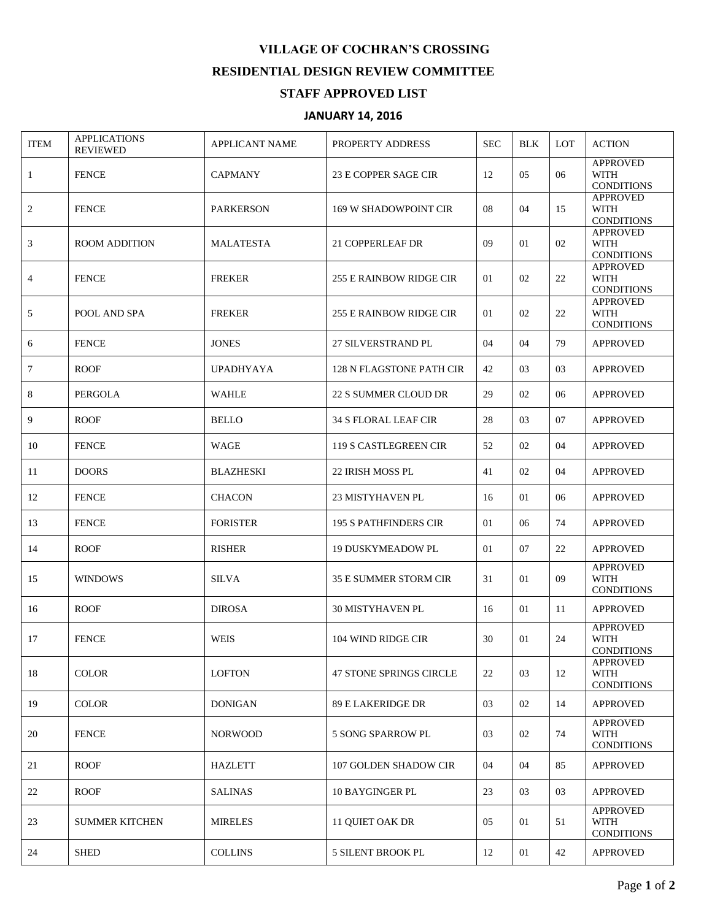## **VILLAGE OF COCHRAN'S CROSSING RESIDENTIAL DESIGN REVIEW COMMITTEE**

## **STAFF APPROVED LIST**

## **JANUARY 14, 2016**

| <b>ITEM</b>    | <b>APPLICATIONS</b><br><b>REVIEWED</b> | <b>APPLICANT NAME</b> | PROPERTY ADDRESS               | <b>SEC</b> | <b>BLK</b> | <b>LOT</b> | <b>ACTION</b>                                       |
|----------------|----------------------------------------|-----------------------|--------------------------------|------------|------------|------------|-----------------------------------------------------|
| $\mathbf{1}$   | <b>FENCE</b>                           | <b>CAPMANY</b>        | 23 E COPPER SAGE CIR           | 12         | 05         | 06         | <b>APPROVED</b><br><b>WITH</b><br><b>CONDITIONS</b> |
| $\overline{c}$ | <b>FENCE</b>                           | <b>PARKERSON</b>      | 169 W SHADOWPOINT CIR          | 08         | 04         | 15         | <b>APPROVED</b><br><b>WITH</b><br><b>CONDITIONS</b> |
| 3              | <b>ROOM ADDITION</b>                   | <b>MALATESTA</b>      | 21 COPPERLEAF DR               | 09         | 01         | 02         | <b>APPROVED</b><br><b>WITH</b><br><b>CONDITIONS</b> |
| $\overline{4}$ | <b>FENCE</b>                           | <b>FREKER</b>         | <b>255 E RAINBOW RIDGE CIR</b> | 01         | 02         | 22         | <b>APPROVED</b><br><b>WITH</b><br><b>CONDITIONS</b> |
| 5              | POOL AND SPA                           | <b>FREKER</b>         | 255 E RAINBOW RIDGE CIR        | 01         | 02         | 22         | <b>APPROVED</b><br><b>WITH</b><br><b>CONDITIONS</b> |
| 6              | <b>FENCE</b>                           | <b>JONES</b>          | 27 SILVERSTRAND PL             | 04         | 04         | 79         | <b>APPROVED</b>                                     |
| 7              | <b>ROOF</b>                            | <b>UPADHYAYA</b>      | 128 N FLAGSTONE PATH CIR       | 42         | 03         | 03         | <b>APPROVED</b>                                     |
| 8              | <b>PERGOLA</b>                         | <b>WAHLE</b>          | <b>22 S SUMMER CLOUD DR</b>    | 29         | 02         | 06         | <b>APPROVED</b>                                     |
| 9              | <b>ROOF</b>                            | <b>BELLO</b>          | <b>34 S FLORAL LEAF CIR</b>    | 28         | 03         | 07         | <b>APPROVED</b>                                     |
| 10             | <b>FENCE</b>                           | WAGE                  | 119 S CASTLEGREEN CIR          | 52         | 02         | 04         | <b>APPROVED</b>                                     |
| 11             | <b>DOORS</b>                           | <b>BLAZHESKI</b>      | 22 IRISH MOSS PL               | 41         | 02         | 04         | <b>APPROVED</b>                                     |
| 12             | <b>FENCE</b>                           | <b>CHACON</b>         | <b>23 MISTYHAVEN PL</b>        | 16         | 01         | 06         | <b>APPROVED</b>                                     |
| 13             | <b>FENCE</b>                           | <b>FORISTER</b>       | <b>195 S PATHFINDERS CIR</b>   | 01         | 06         | 74         | <b>APPROVED</b>                                     |
| 14             | <b>ROOF</b>                            | <b>RISHER</b>         | <b>19 DUSKYMEADOW PL</b>       | 01         | 07         | 22         | <b>APPROVED</b>                                     |
| 15             | <b>WINDOWS</b>                         | <b>SILVA</b>          | <b>35 E SUMMER STORM CIR</b>   | 31         | 01         | 09         | <b>APPROVED</b><br><b>WITH</b><br><b>CONDITIONS</b> |
| 16             | <b>ROOF</b>                            | <b>DIROSA</b>         | <b>30 MISTYHAVEN PL</b>        | 16         | 01         | 11         | <b>APPROVED</b>                                     |
| 17             | <b>FENCE</b>                           | <b>WEIS</b>           | 104 WIND RIDGE CIR             | 30         | 01         | 24         | <b>APPROVED</b><br>WITH<br><b>CONDITIONS</b>        |
| 18             | <b>COLOR</b>                           | <b>LOFTON</b>         | 47 STONE SPRINGS CIRCLE        | 22         | 03         | 12         | <b>APPROVED</b><br>WITH<br><b>CONDITIONS</b>        |
| 19             | <b>COLOR</b>                           | <b>DONIGAN</b>        | 89 E LAKERIDGE DR              | 03         | 02         | 14         | <b>APPROVED</b>                                     |
| 20             | <b>FENCE</b>                           | <b>NORWOOD</b>        | 5 SONG SPARROW PL              | 03         | 02         | 74         | <b>APPROVED</b><br>WITH<br><b>CONDITIONS</b>        |
| 21             | <b>ROOF</b>                            | <b>HAZLETT</b>        | 107 GOLDEN SHADOW CIR          | 04         | 04         | 85         | <b>APPROVED</b>                                     |
| 22             | <b>ROOF</b>                            | <b>SALINAS</b>        | <b>10 BAYGINGER PL</b>         | 23         | 03         | 03         | <b>APPROVED</b>                                     |
| 23             | <b>SUMMER KITCHEN</b>                  | <b>MIRELES</b>        | 11 QUIET OAK DR                | 05         | 01         | 51         | <b>APPROVED</b><br><b>WITH</b><br><b>CONDITIONS</b> |
| 24             | <b>SHED</b>                            | <b>COLLINS</b>        | 5 SILENT BROOK PL              | 12         | 01         | 42         | <b>APPROVED</b>                                     |